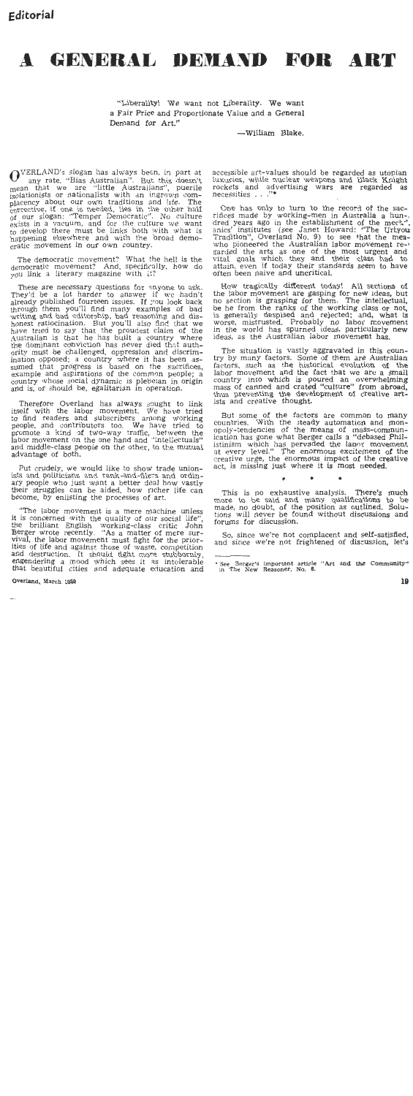## A GENERAL DEMAND FOR ART

"Liberality! We want not Liberality. We want a Fair Price and Proportionate Value and a General Demand for Art."

-William Blake.

OVERLAND's slogan has always been, in part at mean that we are "little Australian". But this doesn't<br>mean that we are "little Australians", puerile isolationists or nationalists with an ingrown complacency about our own traditions and life. The corrective, if one is needed, lies in the other half of our slogan: "Temper Democratic". No culture exists in a vacuum, and for the culture we want to develop there must be links both with what is happening elsewhere and with the oroad democratic movement in our own country.

The democratic movement? What the hell is the democratic movement? And specifically, how do you link a literary magazine with it?

These are necessary questions for anyone to ask. They'd be a lot harder to answer if we hadn't already published fourteen issues. If you look back through them you'll find many examples of bad<br>writing and bad editorship, bad reasoning and dishonest ratiocination. But you'll also find that we have tried to say that the proudest claim of the Australian is that he has built a country where the dominant conviction has never died that authority must be challenged, oppression and discrimination opposed; a country where it has been as-<br>sumed that progress is based on the sacrifices,<br>example and aspirations of the common people; a country whose social dynamic is plebetan in origin and is, or should be, egalitarian in operation.

Therefore Overland has always sought to link itself with the labor movement. We have tried to find readers and subscribers among working<br>people, and contributors too. We have tried to promote a kind of two-way traffic, between the<br>labor movement on the one hand and "intellectuals" and middle-class people on the other, to the mutual advantage of both.

Put crudely, we would like to show trade unionists and politicians and rank-and-filers and ordinary people who just want a better deal how vastly their struggles can be aided, how richer life can become, by enlisting the processes of art.

"The labor movement is a mere machine unless it is concerned with the quality of our social life", the brilliant English working-class critic John<br>Berger wrote recently. "As a matter of mere survival, the labor movement must fight for the priorities of life and against those of waste, competition and destruction. It should fight more stubbornly, engendering a mood which sees it as intolerable that beautiful cities and adequate education and

## Overland, March 1959

accessible art-values should be regarded as utopian luxuries, while nuclear weapons and Black Knight rockets and advertising wars are regarded as necessities . . ."\*

One has only to turn to the record of the sacrifices made by working-men in Australia a hun-. dred years ago in the establishment of the mech". anics' institutes (see Janet Howard: "The Urkyou Tradition", Overland No. 9) to see that the meawho pioneered the Australian labor movement regarded the arts as one of the most urgent and<br>vital goals which they and their class had to attain, even if today their standards seem to have often been naive and uncritical.

How tragically different today! All sections of the labor movement are gasping for new ideas, but no section is grasping for them. The intellectual. be he from the ranks of the working class or not,<br>is generally despised and rejected; and, what is worse, mistrusted. Probably no labor movement in the world has spurned ideas, particularly new ideas, as the Australian labor movement has.

The situation is vastly aggravated in this country by many factors. Some of them are Australian factors, such as the historical evolution of the labor movement and the fact that we are a small country into which is poured an overwhelming<br>mass of canned and crated "culture" from abroad,<br>thus preventing the development of creative artists and creative thought.

But some of the factors are common to many countries. With the steady automation and mon-<br>opoly-tendencies of the means of mass-communication has gone what Berger calls a "debased Philistinism which has pervaded the lapor movement at every level." The enormous excitement of the creative urge, the enormous impact of the creative act, is missing just where it is most needed.

 $\alpha$ 

This is no exhaustive analysis. There's much more to be said and many qualifications to be made, no doubt, of the position as outlined. Solutions will never be found without discussions and forums for discussion.

So, since we're not complacent and self-satisfied. and since we're not frightened or discussion, let's

<sup>\*</sup> See Berger's important article "Art and the Community" in The New Reasoner, No. 6.